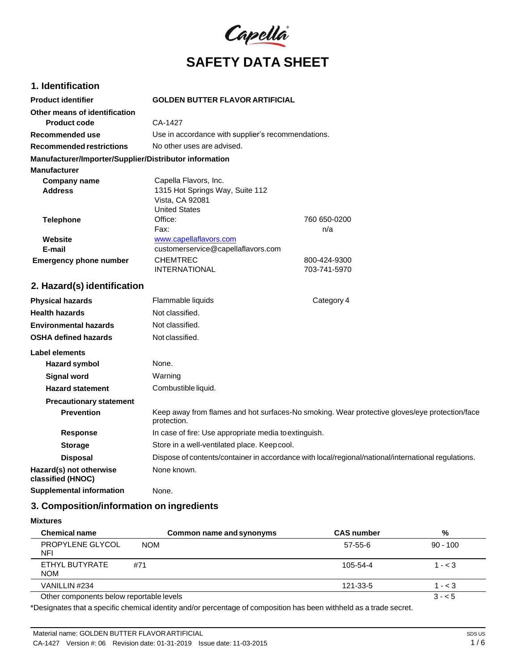

# **1. Identification**

| <b>Product identifier</b>                              | <b>GOLDEN BUTTER FLAVOR ARTIFICIAL</b>             |              |
|--------------------------------------------------------|----------------------------------------------------|--------------|
| Other means of identification                          |                                                    |              |
| Product code                                           | CA-1427                                            |              |
| Recommended use                                        | Use in accordance with supplier's recommendations. |              |
| <b>Recommended restrictions</b>                        | No other uses are advised.                         |              |
| Manufacturer/Importer/Supplier/Distributor information |                                                    |              |
| <b>Manufacturer</b>                                    |                                                    |              |
| Company name                                           | Capella Flavors, Inc.                              |              |
| <b>Address</b>                                         | 1315 Hot Springs Way, Suite 112                    |              |
|                                                        | Vista, CA 92081                                    |              |
|                                                        | <b>United States</b>                               |              |
| <b>Telephone</b>                                       | Office:                                            | 760 650-0200 |
|                                                        | Fax:                                               | n/a          |
| Website                                                | www.capellaflavors.com                             |              |
| E-mail                                                 | customerservice@capellaflavors.com                 |              |
| <b>Emergency phone number</b>                          | <b>CHEMTREC</b>                                    | 800-424-9300 |
|                                                        | <b>INTERNATIONAL</b>                               | 703-741-5970 |

# **2. Hazard(s) identification**

| <b>Physical hazards</b>                      | Flammable liquids                                     | Category 4                                                                                          |
|----------------------------------------------|-------------------------------------------------------|-----------------------------------------------------------------------------------------------------|
| <b>Health hazards</b>                        | Not classified.                                       |                                                                                                     |
| <b>Environmental hazards</b>                 | Not classified.                                       |                                                                                                     |
| <b>OSHA defined hazards</b>                  | Not classified.                                       |                                                                                                     |
| Label elements                               |                                                       |                                                                                                     |
| Hazard symbol                                | None.                                                 |                                                                                                     |
| <b>Signal word</b>                           | Warning                                               |                                                                                                     |
| <b>Hazard statement</b>                      | Combustible liquid.                                   |                                                                                                     |
| <b>Precautionary statement</b>               |                                                       |                                                                                                     |
| <b>Prevention</b>                            | protection.                                           | Keep away from flames and hot surfaces-No smoking. Wear protective gloves/eye protection/face       |
| <b>Response</b>                              | In case of fire: Use appropriate media to extinguish. |                                                                                                     |
| <b>Storage</b>                               | Store in a well-ventilated place. Keep cool.          |                                                                                                     |
| <b>Disposal</b>                              |                                                       | Dispose of contents/container in accordance with local/regional/national/international regulations. |
| Hazard(s) not otherwise<br>classified (HNOC) | None known.                                           |                                                                                                     |
| <b>Supplemental information</b>              | None.                                                 |                                                                                                     |

# **3. Composition/information on ingredients**

**Mixtures**

| <b>Chemical name</b>                     | Common name and synonyms | <b>CAS number</b> | %          |
|------------------------------------------|--------------------------|-------------------|------------|
| PROPYLENE GLYCOL<br>NFI                  | <b>NOM</b>               | 57-55-6           | $90 - 100$ |
| ETHYL BUTYRATE<br><b>NOM</b>             | #71                      | $105 - 54 - 4$    | $1 - < 3$  |
| VANILLIN #234                            |                          | 121-33-5          | $1 - < 3$  |
| Other components below reportable levels |                          |                   | $3 - 5$    |

\*Designates that a specific chemical identity and/or percentage of composition has been withheld as a trade secret.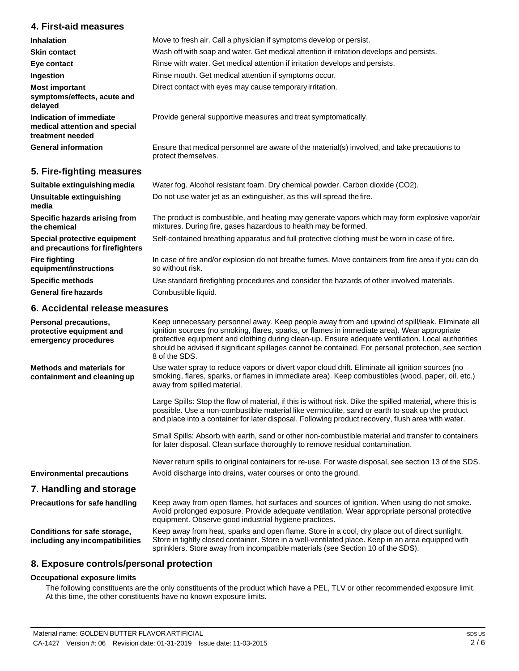# **4. First-aid measures**

| <b>Inhalation</b>                                                            | Move to fresh air. Call a physician if symptoms develop or persist.                                                 |
|------------------------------------------------------------------------------|---------------------------------------------------------------------------------------------------------------------|
|                                                                              |                                                                                                                     |
| <b>Skin contact</b>                                                          | Wash off with soap and water. Get medical attention if irritation develops and persists.                            |
| Eye contact                                                                  | Rinse with water. Get medical attention if irritation develops and persists.                                        |
| Ingestion                                                                    | Rinse mouth. Get medical attention if symptoms occur.                                                               |
| <b>Most important</b><br>symptoms/effects, acute and<br>delayed              | Direct contact with eyes may cause temporary irritation.                                                            |
| Indication of immediate<br>medical attention and special<br>treatment needed | Provide general supportive measures and treat symptomatically.                                                      |
| <b>General information</b>                                                   | Ensure that medical personnel are aware of the material(s) involved, and take precautions to<br>protect themselves. |
| 5. Fire-fighting measures                                                    |                                                                                                                     |

| Suitable extinguishing media                                     | Water fog. Alcohol resistant foam. Dry chemical powder. Carbon dioxide (CO2).                                                                                     |
|------------------------------------------------------------------|-------------------------------------------------------------------------------------------------------------------------------------------------------------------|
| Unsuitable extinguishing<br>media                                | Do not use water jet as an extinguisher, as this will spread the fire.                                                                                            |
| Specific hazards arising from<br>the chemical                    | The product is combustible, and heating may generate vapors which may form explosive vapor/air<br>mixtures. During fire, gases hazardous to health may be formed. |
| Special protective equipment<br>and precautions for firefighters | Self-contained breathing apparatus and full protective clothing must be worn in case of fire.                                                                     |
| <b>Fire fighting</b><br>equipment/instructions                   | In case of fire and/or explosion do not breathe fumes. Move containers from fire area if you can do<br>so without risk.                                           |
| <b>Specific methods</b>                                          | Use standard firefighting procedures and consider the hazards of other involved materials.                                                                        |
| <b>General fire hazards</b>                                      | Combustible liquid.                                                                                                                                               |

# **6. Accidental release measures**

| Personal precautions,<br>protective equipment and<br>emergency procedures | Keep unnecessary personnel away. Keep people away from and upwind of spill/leak. Eliminate all<br>ignition sources (no smoking, flares, sparks, or flames in immediate area). Wear appropriate<br>protective equipment and clothing during clean-up. Ensure adequate ventilation. Local authorities<br>should be advised if significant spillages cannot be contained. For personal protection, see section<br>8 of the SDS. |
|---------------------------------------------------------------------------|------------------------------------------------------------------------------------------------------------------------------------------------------------------------------------------------------------------------------------------------------------------------------------------------------------------------------------------------------------------------------------------------------------------------------|
| Methods and materials for<br>containment and cleaning up                  | Use water spray to reduce vapors or divert vapor cloud drift. Eliminate all ignition sources (no<br>smoking, flares, sparks, or flames in immediate area). Keep combustibles (wood, paper, oil, etc.)<br>away from spilled material.                                                                                                                                                                                         |
|                                                                           | Large Spills: Stop the flow of material, if this is without risk. Dike the spilled material, where this is<br>possible. Use a non-combustible material like vermiculite, sand or earth to soak up the product<br>and place into a container for later disposal. Following product recovery, flush area with water.                                                                                                           |
|                                                                           | Small Spills: Absorb with earth, sand or other non-combustible material and transfer to containers<br>for later disposal. Clean surface thoroughly to remove residual contamination.                                                                                                                                                                                                                                         |
|                                                                           | Never return spills to original containers for re-use. For waste disposal, see section 13 of the SDS.                                                                                                                                                                                                                                                                                                                        |
| <b>Environmental precautions</b>                                          | Avoid discharge into drains, water courses or onto the ground.                                                                                                                                                                                                                                                                                                                                                               |
| 7. Handling and storage                                                   |                                                                                                                                                                                                                                                                                                                                                                                                                              |
| Precautions for safe handling                                             | Keep away from open flames, hot surfaces and sources of ignition. When using do not smoke.<br>Avoid prolonged exposure. Provide adequate ventilation. Wear appropriate personal protective<br>equipment. Observe good industrial hygiene practices.                                                                                                                                                                          |
| Conditions for safe storage,<br>including any incompatibilities           | Keep away from heat, sparks and open flame. Store in a cool, dry place out of direct sunlight.<br>Store in tightly closed container. Store in a well-ventilated place. Keep in an area equipped with<br>sprinklers. Store away from incompatible materials (see Section 10 of the SDS).                                                                                                                                      |

# **8. Exposure controls/personal protection**

#### **Occupational exposure limits**

The following constituents are the only constituents of the product which have a PEL, TLV or other recommended exposure limit. At this time, the other constituents have no known exposure limits.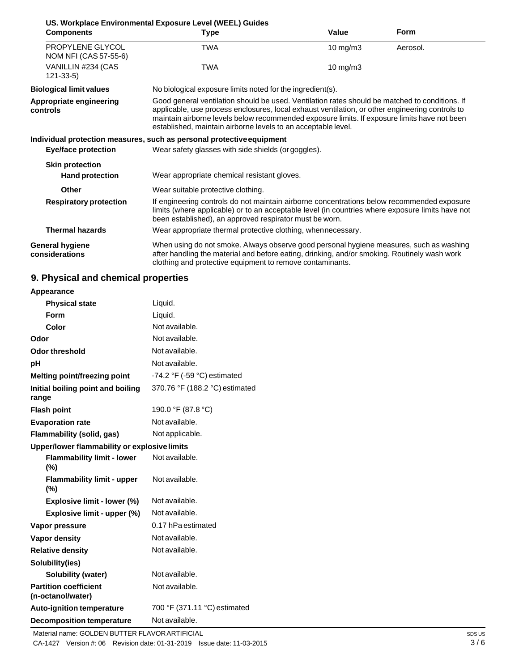| <b>Components</b>                         | US. Workplace Environmental Exposure Level (WEEL) Guides<br>Type                                                                                                                                                                                                                                                                                                   | Value             | <b>Form</b> |
|-------------------------------------------|--------------------------------------------------------------------------------------------------------------------------------------------------------------------------------------------------------------------------------------------------------------------------------------------------------------------------------------------------------------------|-------------------|-------------|
| PROPYLENE GLYCOL<br>NOM NFI (CAS 57-55-6) | TWA                                                                                                                                                                                                                                                                                                                                                                | 10 mg/m3          | Aerosol.    |
| VANILLIN #234 (CAS<br>$121 - 33 - 5$      | <b>TWA</b>                                                                                                                                                                                                                                                                                                                                                         | $10 \text{ mg/m}$ |             |
| <b>Biological limit values</b>            | No biological exposure limits noted for the ingredient(s).                                                                                                                                                                                                                                                                                                         |                   |             |
| Appropriate engineering<br>controls       | Good general ventilation should be used. Ventilation rates should be matched to conditions. If<br>applicable, use process enclosures, local exhaust ventilation, or other engineering controls to<br>maintain airborne levels below recommended exposure limits. If exposure limits have not been<br>established, maintain airborne levels to an acceptable level. |                   |             |
|                                           | Individual protection measures, such as personal protective equipment                                                                                                                                                                                                                                                                                              |                   |             |
| <b>Eye/face protection</b>                | Wear safety glasses with side shields (or goggles).                                                                                                                                                                                                                                                                                                                |                   |             |
| <b>Skin protection</b>                    |                                                                                                                                                                                                                                                                                                                                                                    |                   |             |
| <b>Hand protection</b>                    | Wear appropriate chemical resistant gloves.                                                                                                                                                                                                                                                                                                                        |                   |             |
| Other                                     | Wear suitable protective clothing.                                                                                                                                                                                                                                                                                                                                 |                   |             |
| <b>Respiratory protection</b>             | If engineering controls do not maintain airborne concentrations below recommended exposure<br>limits (where applicable) or to an acceptable level (in countries where exposure limits have not<br>been established), an approved respirator must be worn.                                                                                                          |                   |             |
| <b>Thermal hazards</b>                    | Wear appropriate thermal protective clothing, whennecessary.                                                                                                                                                                                                                                                                                                       |                   |             |
| <b>General hygiene</b><br>considerations  | When using do not smoke. Always observe good personal hygiene measures, such as washing<br>after handling the material and before eating, drinking, and/or smoking. Routinely wash work<br>clothing and protective equipment to remove contaminants.                                                                                                               |                   |             |

# **9. Physical and chemical properties**

| Appearance                                        |                                               |
|---------------------------------------------------|-----------------------------------------------|
| <b>Physical state</b>                             | Liquid.                                       |
| Form                                              | Liquid.                                       |
| Color                                             | Not available.                                |
| Odor                                              | Not available.                                |
| Odor threshold                                    | Not available.                                |
| рH                                                | Not available.                                |
| <b>Melting point/freezing point</b>               | -74.2 $\degree$ F (-59 $\degree$ C) estimated |
| Initial boiling point and boiling<br>range        | 370.76 °F (188.2 °C) estimated                |
| <b>Flash point</b>                                | 190.0 °F (87.8 °C)                            |
| <b>Evaporation rate</b>                           | Not available.                                |
| Flammability (solid, gas)                         | Not applicable.                               |
| Upper/lower flammability or explosive limits      |                                               |
| <b>Flammability limit - lower</b><br>$(\%)$       | Not available.                                |
| <b>Flammability limit - upper</b><br>$(\%)$       | Not available.                                |
| Explosive limit - lower (%)                       | Not available.                                |
| Explosive limit - upper (%)                       | Not available.                                |
| Vapor pressure                                    | 0.17 hPa estimated                            |
| <b>Vapor density</b>                              | Not available.                                |
| <b>Relative density</b>                           | Not available.                                |
| Solubility(ies)                                   |                                               |
| <b>Solubility (water)</b>                         | Not available.                                |
| <b>Partition coefficient</b><br>(n-octanol/water) | Not available.                                |
| <b>Auto-ignition temperature</b>                  | 700 °F (371.11 °C) estimated                  |
| <b>Decomposition temperature</b>                  | Not available.                                |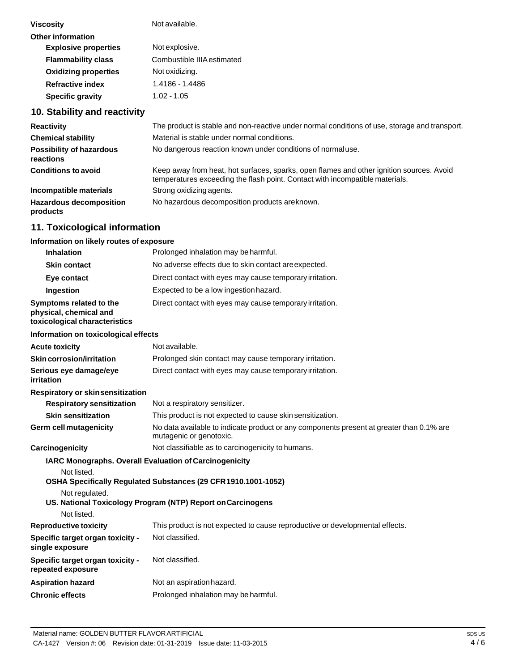| <b>Viscosity</b>            | Not available.             |
|-----------------------------|----------------------------|
| Other information           |                            |
| <b>Explosive properties</b> | Not explosive.             |
| <b>Flammability class</b>   | Combustible IIIA estimated |
| <b>Oxidizing properties</b> | Not oxidizing.             |
| <b>Refractive index</b>     | 1.4186 - 1.4486            |
| <b>Specific gravity</b>     | 1.02 - 1.05                |
|                             |                            |

# **10. Stability and reactivity**

| <b>Reactivity</b>                            | The product is stable and non-reactive under normal conditions of use, storage and transport.                                                                            |
|----------------------------------------------|--------------------------------------------------------------------------------------------------------------------------------------------------------------------------|
| <b>Chemical stability</b>                    | Material is stable under normal conditions.                                                                                                                              |
| <b>Possibility of hazardous</b><br>reactions | No dangerous reaction known under conditions of normal use.                                                                                                              |
| <b>Conditions to avoid</b>                   | Keep away from heat, hot surfaces, sparks, open flames and other ignition sources. Avoid<br>temperatures exceeding the flash point. Contact with incompatible materials. |
| Incompatible materials                       | Strong oxidizing agents.                                                                                                                                                 |
| <b>Hazardous decomposition</b><br>products   | No hazardous decomposition products are known.                                                                                                                           |

# **11. Toxicological information**

## **Information on likely routes of exposure**

| <b>Inhalation</b>                                                                  | Prolonged inhalation may be harmful.                                                                                            |
|------------------------------------------------------------------------------------|---------------------------------------------------------------------------------------------------------------------------------|
| <b>Skin contact</b>                                                                | No adverse effects due to skin contact are expected.                                                                            |
| Eye contact                                                                        | Direct contact with eyes may cause temporary irritation.                                                                        |
| Ingestion                                                                          | Expected to be a low ingestion hazard.                                                                                          |
| Symptoms related to the<br>physical, chemical and<br>toxicological characteristics | Direct contact with eyes may cause temporary irritation.                                                                        |
| Information on toxicological effects                                               |                                                                                                                                 |
| <b>Acute toxicity</b>                                                              | Not available.                                                                                                                  |
| <b>Skin corrosion/irritation</b>                                                   | Prolonged skin contact may cause temporary irritation.                                                                          |
| Serious eye damage/eye<br>irritation                                               | Direct contact with eyes may cause temporary irritation.                                                                        |
| Respiratory or skinsensitization                                                   |                                                                                                                                 |
| <b>Respiratory sensitization</b>                                                   | Not a respiratory sensitizer.                                                                                                   |
| <b>Skin sensitization</b>                                                          | This product is not expected to cause skin sensitization.                                                                       |
| Germ cell mutagenicity                                                             | No data available to indicate product or any components present at greater than 0.1% are<br>mutagenic or genotoxic.             |
| <b>Carcinogenicity</b>                                                             | Not classifiable as to carcinogenicity to humans.                                                                               |
| Not listed.<br>Not regulated.                                                      | <b>IARC Monographs. Overall Evaluation of Carcinogenicity</b><br>OSHA Specifically Regulated Substances (29 CFR 1910.1001-1052) |
| Not listed.                                                                        | US. National Toxicology Program (NTP) Report on Carcinogens                                                                     |
| <b>Reproductive toxicity</b>                                                       | This product is not expected to cause reproductive or developmental effects.                                                    |
| <b>Specific target organ toxicity -</b><br>single exposure                         | Not classified.                                                                                                                 |
| Specific target organ toxicity -<br>repeated exposure                              | Not classified.                                                                                                                 |
| <b>Aspiration hazard</b>                                                           | Not an aspiration hazard.                                                                                                       |
| <b>Chronic effects</b>                                                             | Prolonged inhalation may be harmful.                                                                                            |
|                                                                                    |                                                                                                                                 |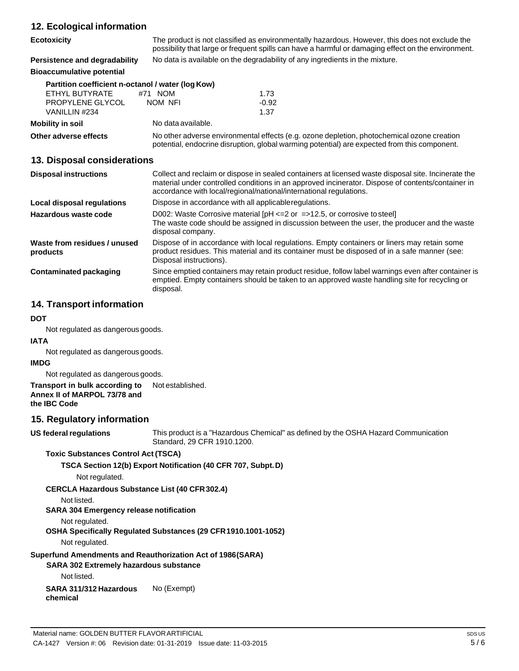# **12. Ecological information**

| <b>12. LCOIOGICAL IIIIOI IIIAUOII</b>             |                                                                                                                                                                                                       |
|---------------------------------------------------|-------------------------------------------------------------------------------------------------------------------------------------------------------------------------------------------------------|
| <b>Ecotoxicity</b>                                | The product is not classified as environmentally hazardous. However, this does not exclude the<br>possibility that large or frequent spills can have a harmful or damaging effect on the environment. |
| Persistence and degradability                     | No data is available on the degradability of any ingredients in the mixture.                                                                                                                          |
| <b>Bioaccumulative potential</b>                  |                                                                                                                                                                                                       |
| Partition coefficient n-octanol / water (log Kow) |                                                                                                                                                                                                       |
| ETHYL BUTYRATE                                    | #71 NOM<br>1.73                                                                                                                                                                                       |
| PROPYLENE GLYCOL                                  | NOM NFI<br>$-0.92$                                                                                                                                                                                    |
| VANILLIN #234                                     | 1.37                                                                                                                                                                                                  |
| <b>Mobility in soil</b>                           | No data available.                                                                                                                                                                                    |
| Other adverse effects                             | No other adverse environmental effects (e.g. ozone depletion, photochemical ozone creation<br>potential, endocrine disruption, global warming potential) are expected from this component.            |

# **13. Disposal considerations**

| <b>Disposal instructions</b>             | Collect and reclaim or dispose in sealed containers at licensed waste disposal site. Incinerate the<br>material under controlled conditions in an approved incinerator. Dispose of contents/container in<br>accordance with local/regional/national/international regulations. |
|------------------------------------------|--------------------------------------------------------------------------------------------------------------------------------------------------------------------------------------------------------------------------------------------------------------------------------|
| Local disposal regulations               | Dispose in accordance with all applicable regulations.                                                                                                                                                                                                                         |
| Hazardous waste code                     | D002: Waste Corrosive material $[PH \le 2$ or $= >12.5$ , or corrosive to steel<br>The waste code should be assigned in discussion between the user, the producer and the waste<br>disposal company.                                                                           |
| Waste from residues / unused<br>products | Dispose of in accordance with local regulations. Empty containers or liners may retain some<br>product residues. This material and its container must be disposed of in a safe manner (see:<br>Disposal instructions).                                                         |
| <b>Contaminated packaging</b>            | Since emptied containers may retain product residue, follow label warnings even after container is<br>emptied. Empty containers should be taken to an approved waste handling site for recycling or<br>disposal.                                                               |

# **14. Transport information**

#### **DOT**

Not regulated as dangerous goods.

#### **IATA**

Not regulated as dangerous goods.

#### **IMDG**

Not regulated as dangerous goods.

#### **Transport in bulk according to Annex II of MARPOL 73/78 and** Not established.

**the IBC Code**

# **15. Regulatory information**

**US** federal regulations

This product is a "Hazardous Chemical" as defined by the OSHA Hazard Communication Standard, 29 CFR 1910.1200.

#### **Toxic Substances Control Act (TSCA)**

#### **TSCA Section 12(b) Export Notification (40 CFR 707, Subpt.D)**

Not regulated.

#### **CERCLA Hazardous Substance List (40 CFR302.4)**

Not listed.

# **SARA 304 Emergency release notification**

Not regulated.

#### **OSHA Specifically Regulated Substances (29 CFR1910.1001-1052)**

Not regulated.

# **Superfund Amendments and Reauthorization Act of 1986(SARA)**

**SARA 302 Extremely hazardous substance**

Not listed.

**SARA 311/312 Hazardous chemical** No (Exempt)